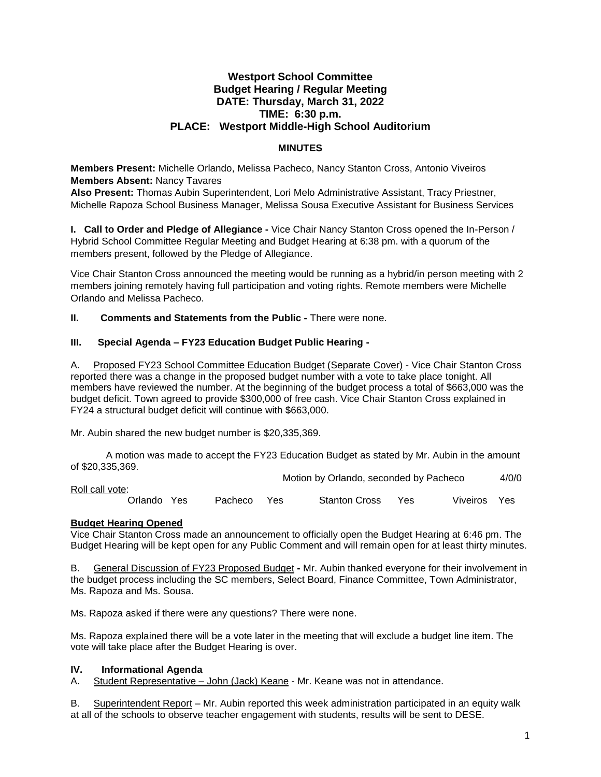# **Westport School Committee Budget Hearing / Regular Meeting DATE: Thursday, March 31, 2022 TIME: 6:30 p.m. PLACE: Westport Middle-High School Auditorium**

# **MINUTES**

**Members Present:** Michelle Orlando, Melissa Pacheco, Nancy Stanton Cross, Antonio Viveiros **Members Absent:** Nancy Tavares

**Also Present:** Thomas Aubin Superintendent, Lori Melo Administrative Assistant, Tracy Priestner, Michelle Rapoza School Business Manager, Melissa Sousa Executive Assistant for Business Services

**I. Call to Order and Pledge of Allegiance -** Vice Chair Nancy Stanton Cross opened the In-Person / Hybrid School Committee Regular Meeting and Budget Hearing at 6:38 pm. with a quorum of the members present, followed by the Pledge of Allegiance.

Vice Chair Stanton Cross announced the meeting would be running as a hybrid/in person meeting with 2 members joining remotely having full participation and voting rights. Remote members were Michelle Orlando and Melissa Pacheco.

**II. Comments and Statements from the Public -** There were none.

# **III. Special Agenda – FY23 Education Budget Public Hearing -**

A. Proposed FY23 School Committee Education Budget (Separate Cover) - Vice Chair Stanton Cross reported there was a change in the proposed budget number with a vote to take place tonight. All members have reviewed the number. At the beginning of the budget process a total of \$663,000 was the budget deficit. Town agreed to provide \$300,000 of free cash. Vice Chair Stanton Cross explained in FY24 a structural budget deficit will continue with \$663,000.

Mr. Aubin shared the new budget number is \$20,335,369.

A motion was made to accept the FY23 Education Budget as stated by Mr. Aubin in the amount of \$20,335,369.

Motion by Orlando, seconded by Pacheco 4/0/0

Roll call vote: Orlando Yes Pacheco Yes Stanton Cross Yes Viveiros Yes

# **Budget Hearing Opened**

Vice Chair Stanton Cross made an announcement to officially open the Budget Hearing at 6:46 pm. The Budget Hearing will be kept open for any Public Comment and will remain open for at least thirty minutes.

B. General Discussion of FY23 Proposed Budget **-** Mr. Aubin thanked everyone for their involvement in the budget process including the SC members, Select Board, Finance Committee, Town Administrator, Ms. Rapoza and Ms. Sousa.

Ms. Rapoza asked if there were any questions? There were none.

Ms. Rapoza explained there will be a vote later in the meeting that will exclude a budget line item. The vote will take place after the Budget Hearing is over.

# **IV. Informational Agenda**

A. Student Representative – John (Jack) Keane - Mr. Keane was not in attendance.

B. Superintendent Report – Mr. Aubin reported this week administration participated in an equity walk at all of the schools to observe teacher engagement with students, results will be sent to DESE.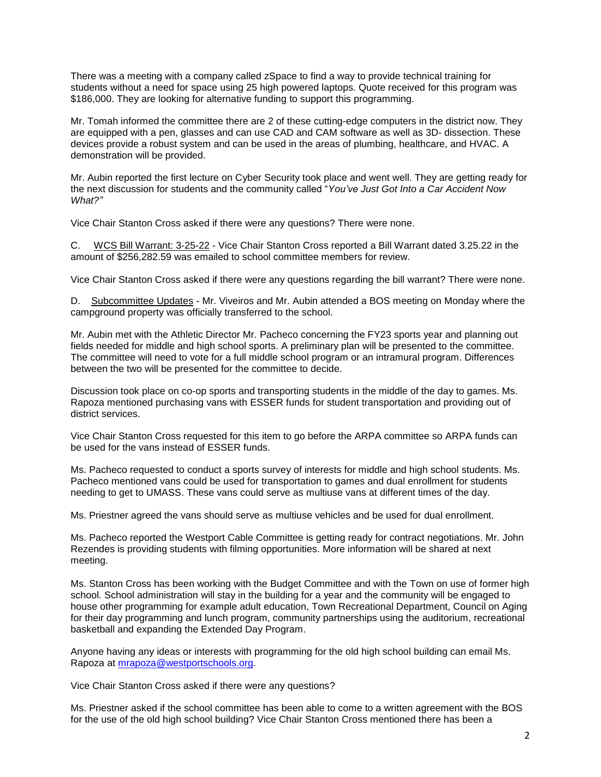There was a meeting with a company called zSpace to find a way to provide technical training for students without a need for space using 25 high powered laptops. Quote received for this program was \$186,000. They are looking for alternative funding to support this programming.

Mr. Tomah informed the committee there are 2 of these cutting-edge computers in the district now. They are equipped with a pen, glasses and can use CAD and CAM software as well as 3D- dissection. These devices provide a robust system and can be used in the areas of plumbing, healthcare, and HVAC. A demonstration will be provided.

Mr. Aubin reported the first lecture on Cyber Security took place and went well. They are getting ready for the next discussion for students and the community called "*You've Just Got Into a Car Accident Now What?"*

Vice Chair Stanton Cross asked if there were any questions? There were none.

C. WCS Bill Warrant: 3-25-22 - Vice Chair Stanton Cross reported a Bill Warrant dated 3.25.22 in the amount of \$256,282.59 was emailed to school committee members for review.

Vice Chair Stanton Cross asked if there were any questions regarding the bill warrant? There were none.

D. Subcommittee Updates - Mr. Viveiros and Mr. Aubin attended a BOS meeting on Monday where the campground property was officially transferred to the school.

Mr. Aubin met with the Athletic Director Mr. Pacheco concerning the FY23 sports year and planning out fields needed for middle and high school sports. A preliminary plan will be presented to the committee. The committee will need to vote for a full middle school program or an intramural program. Differences between the two will be presented for the committee to decide.

Discussion took place on co-op sports and transporting students in the middle of the day to games. Ms. Rapoza mentioned purchasing vans with ESSER funds for student transportation and providing out of district services.

Vice Chair Stanton Cross requested for this item to go before the ARPA committee so ARPA funds can be used for the vans instead of ESSER funds.

Ms. Pacheco requested to conduct a sports survey of interests for middle and high school students. Ms. Pacheco mentioned vans could be used for transportation to games and dual enrollment for students needing to get to UMASS. These vans could serve as multiuse vans at different times of the day.

Ms. Priestner agreed the vans should serve as multiuse vehicles and be used for dual enrollment.

Ms. Pacheco reported the Westport Cable Committee is getting ready for contract negotiations. Mr. John Rezendes is providing students with filming opportunities. More information will be shared at next meeting.

Ms. Stanton Cross has been working with the Budget Committee and with the Town on use of former high school. School administration will stay in the building for a year and the community will be engaged to house other programming for example adult education, Town Recreational Department, Council on Aging for their day programming and lunch program, community partnerships using the auditorium, recreational basketball and expanding the Extended Day Program.

Anyone having any ideas or interests with programming for the old high school building can email Ms. Rapoza at [mrapoza@westportschools.org.](mailto:mrapoza@westportschools.org)

Vice Chair Stanton Cross asked if there were any questions?

Ms. Priestner asked if the school committee has been able to come to a written agreement with the BOS for the use of the old high school building? Vice Chair Stanton Cross mentioned there has been a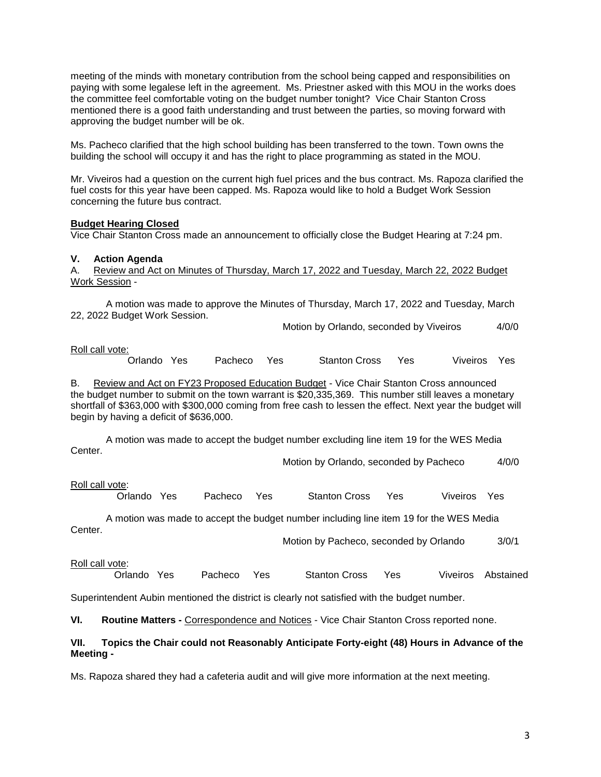meeting of the minds with monetary contribution from the school being capped and responsibilities on paying with some legalese left in the agreement. Ms. Priestner asked with this MOU in the works does the committee feel comfortable voting on the budget number tonight? Vice Chair Stanton Cross mentioned there is a good faith understanding and trust between the parties, so moving forward with approving the budget number will be ok.

Ms. Pacheco clarified that the high school building has been transferred to the town. Town owns the building the school will occupy it and has the right to place programming as stated in the MOU.

Mr. Viveiros had a question on the current high fuel prices and the bus contract. Ms. Rapoza clarified the fuel costs for this year have been capped. Ms. Rapoza would like to hold a Budget Work Session concerning the future bus contract.

### **Budget Hearing Closed**

Vice Chair Stanton Cross made an announcement to officially close the Budget Hearing at 7:24 pm.

## **V. Action Agenda**

A. Review and Act on Minutes of Thursday, March 17, 2022 and Tuesday, March 22, 2022 Budget Work Session -

A motion was made to approve the Minutes of Thursday, March 17, 2022 and Tuesday, March 22, 2022 Budget Work Session.

Motion by Orlando, seconded by Viveiros 4/0/0

### Roll call vote:

Orlando Yes Pacheco Yes Stanton Cross Yes Viveiros Yes

B. Review and Act on FY23 Proposed Education Budget - Vice Chair Stanton Cross announced the budget number to submit on the town warrant is \$20,335,369. This number still leaves a monetary shortfall of \$363,000 with \$300,000 coming from free cash to lessen the effect. Next year the budget will begin by having a deficit of \$636,000.

A motion was made to accept the budget number excluding line item 19 for the WES Media Center.

Motion by Orlando, seconded by Pacheco 4/0/0

Roll call vote:

Orlando Yes Pacheco Yes Stanton Cross Yes Viveiros Yes

A motion was made to accept the budget number including line item 19 for the WES Media Center.

Motion by Pacheco, seconded by Orlando 3/0/1

### Roll call vote:

Orlando Yes Pacheco Yes Stanton Cross Yes Viveiros Abstained

Superintendent Aubin mentioned the district is clearly not satisfied with the budget number.

**VI. Routine Matters -** Correspondence and Notices - Vice Chair Stanton Cross reported none.

## **VII. Topics the Chair could not Reasonably Anticipate Forty-eight (48) Hours in Advance of the Meeting -**

Ms. Rapoza shared they had a cafeteria audit and will give more information at the next meeting.